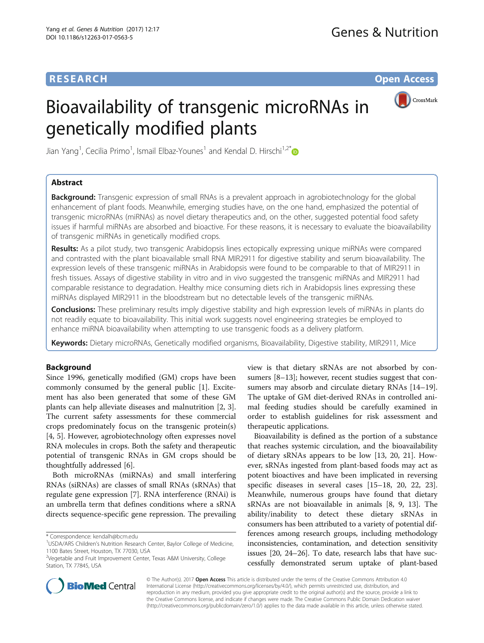# **RESEARCH CHE Open Access**

# Bioavailability of transgenic microRNAs in genetically modified plants



Jian Yang<sup>1</sup>, Cecilia Primo<sup>1</sup>, Ismail Elbaz-Younes<sup>1</sup> and Kendal D. Hirschi<sup>1,2\*</sup>

# Abstract

**Background:** Transgenic expression of small RNAs is a prevalent approach in agrobiotechnology for the global enhancement of plant foods. Meanwhile, emerging studies have, on the one hand, emphasized the potential of transgenic microRNAs (miRNAs) as novel dietary therapeutics and, on the other, suggested potential food safety issues if harmful miRNAs are absorbed and bioactive. For these reasons, it is necessary to evaluate the bioavailability of transgenic miRNAs in genetically modified crops.

Results: As a pilot study, two transgenic Arabidopsis lines ectopically expressing unique miRNAs were compared and contrasted with the plant bioavailable small RNA MIR2911 for digestive stability and serum bioavailability. The expression levels of these transgenic miRNAs in Arabidopsis were found to be comparable to that of MIR2911 in fresh tissues. Assays of digestive stability in vitro and in vivo suggested the transgenic miRNAs and MIR2911 had comparable resistance to degradation. Healthy mice consuming diets rich in Arabidopsis lines expressing these miRNAs displayed MIR2911 in the bloodstream but no detectable levels of the transgenic miRNAs.

Conclusions: These preliminary results imply digestive stability and high expression levels of miRNAs in plants do not readily equate to bioavailability. This initial work suggests novel engineering strategies be employed to enhance miRNA bioavailability when attempting to use transgenic foods as a delivery platform.

Keywords: Dietary microRNAs, Genetically modified organisms, Bioavailability, Digestive stability, MIR2911, Mice

# Background

Since 1996, genetically modified (GM) crops have been commonly consumed by the general public [[1\]](#page-6-0). Excitement has also been generated that some of these GM plants can help alleviate diseases and malnutrition [\[2](#page-6-0), [3](#page-6-0)]. The current safety assessments for these commercial crops predominately focus on the transgenic protein(s) [[4, 5\]](#page-6-0). However, agrobiotechnology often expresses novel RNA molecules in crops. Both the safety and therapeutic potential of transgenic RNAs in GM crops should be thoughtfully addressed [[6\]](#page-6-0).

Both microRNAs (miRNAs) and small interfering RNAs (siRNAs) are classes of small RNAs (sRNAs) that regulate gene expression [[7](#page-6-0)]. RNA interference (RNAi) is an umbrella term that defines conditions where a sRNA directs sequence-specific gene repression. The prevailing

view is that dietary sRNAs are not absorbed by consumers [\[8](#page-6-0)–[13\]](#page-6-0); however, recent studies suggest that consumers may absorb and circulate dietary RNAs [[14](#page-6-0)–[19](#page-6-0)]. The uptake of GM diet-derived RNAs in controlled animal feeding studies should be carefully examined in order to establish guidelines for risk assessment and therapeutic applications.

Bioavailability is defined as the portion of a substance that reaches systemic circulation, and the bioavailability of dietary sRNAs appears to be low [\[13, 20, 21](#page-6-0)]. However, sRNAs ingested from plant-based foods may act as potent bioactives and have been implicated in reversing specific diseases in several cases [\[15](#page-6-0)–[18, 20](#page-6-0), [22, 23](#page-6-0)]. Meanwhile, numerous groups have found that dietary sRNAs are not bioavailable in animals [\[8](#page-6-0), [9](#page-6-0), [13](#page-6-0)]. The ability/inability to detect these dietary sRNAs in consumers has been attributed to a variety of potential differences among research groups, including methodology inconsistencies, contamination, and detection sensitivity issues [[20, 24](#page-6-0)–[26\]](#page-6-0). To date, research labs that have successfully demonstrated serum uptake of plant-based



© The Author(s). 2017 **Open Access** This article is distributed under the terms of the Creative Commons Attribution 4.0 International License [\(http://creativecommons.org/licenses/by/4.0/](http://creativecommons.org/licenses/by/4.0/)), which permits unrestricted use, distribution, and reproduction in any medium, provided you give appropriate credit to the original author(s) and the source, provide a link to the Creative Commons license, and indicate if changes were made. The Creative Commons Public Domain Dedication waiver [\(http://creativecommons.org/publicdomain/zero/1.0/](http://creativecommons.org/publicdomain/zero/1.0/)) applies to the data made available in this article, unless otherwise stated.

<sup>\*</sup> Correspondence: [kendalh@bcm.edu](mailto:kendalh@bcm.edu) <sup>1</sup>

<sup>&</sup>lt;sup>1</sup>USDA/ARS Children's Nutrition Research Center, Baylor College of Medicine, 1100 Bates Street, Houston, TX 77030, USA

<sup>&</sup>lt;sup>2</sup>Vegetable and Fruit Improvement Center, Texas A&M University, College Station, TX 77845, USA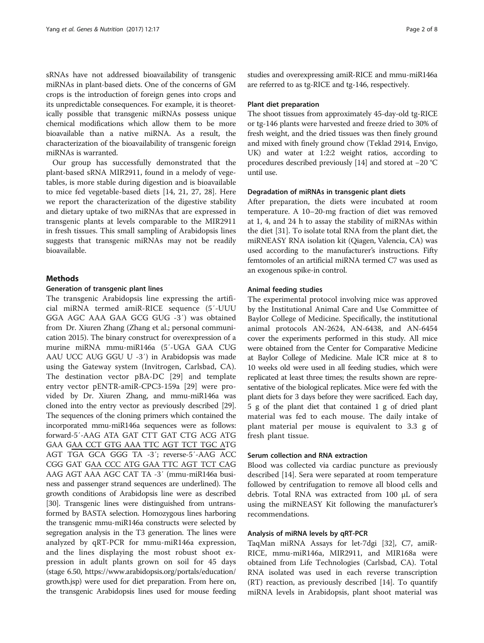sRNAs have not addressed bioavailability of transgenic miRNAs in plant-based diets. One of the concerns of GM crops is the introduction of foreign genes into crops and its unpredictable consequences. For example, it is theoretically possible that transgenic miRNAs possess unique chemical modifications which allow them to be more bioavailable than a native miRNA. As a result, the characterization of the bioavailability of transgenic foreign miRNAs is warranted.

Our group has successfully demonstrated that the plant-based sRNA MIR2911, found in a melody of vegetables, is more stable during digestion and is bioavailable to mice fed vegetable-based diets [[14](#page-6-0), [21](#page-6-0), [27](#page-6-0), [28](#page-6-0)]. Here we report the characterization of the digestive stability and dietary uptake of two miRNAs that are expressed in transgenic plants at levels comparable to the MIR2911 in fresh tissues. This small sampling of Arabidopsis lines suggests that transgenic miRNAs may not be readily bioavailable.

# **Methods**

#### Generation of transgenic plant lines

The transgenic Arabidopsis line expressing the artificial miRNA termed amiR-RICE sequence (5′-UUU GGA AGC AAA GAA GCG GUG -3′) was obtained from Dr. Xiuren Zhang (Zhang et al.; personal communication 2015). The binary construct for overexpression of a murine miRNA mmu-miR146a (5′-UGA GAA CUG AAU UCC AUG GGU U -3′) in Arabidopsis was made using the Gateway system (Invitrogen, Carlsbad, CA). The destination vector pBA-DC [[29](#page-6-0)] and template entry vector pENTR-amiR-CPC3-159a [[29\]](#page-6-0) were provided by Dr. Xiuren Zhang, and mmu-miR146a was cloned into the entry vector as previously described [\[29](#page-6-0)]. The sequences of the cloning primers which contained the incorporated mmu-miR146a sequences were as follows: forward-5′-AAG ATA GAT CTT GAT CTG ACG ATG GAA GAA CCT GTG AAA TTC AGT TCT TGC ATG AGT TGA GCA GGG TA -3′; reverse-5′-AAG ACC CGG GAT GAA CCC ATG GAA TTC AGT TCT CAG AAG AGT AAA AGC CAT TA -3′ (mmu-miR146a business and passenger strand sequences are underlined). The growth conditions of Arabidopsis line were as described [[30](#page-6-0)]. Transgenic lines were distinguished from untransformed by BASTA selection. Homozygous lines harboring the transgenic mmu-miR146a constructs were selected by segregation analysis in the T3 generation. The lines were analyzed by qRT-PCR for mmu-miR146a expression, and the lines displaying the most robust shoot expression in adult plants grown on soil for 45 days (stage 6.50, [https://www.arabidopsis.org/portals/education/](https://www.arabidopsis.org/portals/education/growth.jsp) [growth.jsp\)](https://www.arabidopsis.org/portals/education/growth.jsp) were used for diet preparation. From here on, the transgenic Arabidopsis lines used for mouse feeding studies and overexpressing amiR-RICE and mmu-miR146a are referred to as tg-RICE and tg-146, respectively.

#### Plant diet preparation

The shoot tissues from approximately 45-day-old tg-RICE or tg-146 plants were harvested and freeze dried to 30% of fresh weight, and the dried tissues was then finely ground and mixed with finely ground chow (Teklad 2914, Envigo, UK) and water at 1:2:2 weight ratios, according to procedures described previously [[14](#page-6-0)] and stored at −20 °C until use.

#### Degradation of miRNAs in transgenic plant diets

After preparation, the diets were incubated at room temperature. A 10–20-mg fraction of diet was removed at 1, 4, and 24 h to assay the stability of miRNAs within the diet [\[31\]](#page-6-0). To isolate total RNA from the plant diet, the miRNEASY RNA isolation kit (Qiagen, Valencia, CA) was used according to the manufacturer's instructions. Fifty femtomoles of an artificial miRNA termed C7 was used as an exogenous spike-in control.

#### Animal feeding studies

The experimental protocol involving mice was approved by the Institutional Animal Care and Use Committee of Baylor College of Medicine. Specifically, the institutional animal protocols AN-2624, AN-6438, and AN-6454 cover the experiments performed in this study. All mice were obtained from the Center for Comparative Medicine at Baylor College of Medicine. Male ICR mice at 8 to 10 weeks old were used in all feeding studies, which were replicated at least three times; the results shown are representative of the biological replicates. Mice were fed with the plant diets for 3 days before they were sacrificed. Each day, 5 g of the plant diet that contained 1 g of dried plant material was fed to each mouse. The daily intake of plant material per mouse is equivalent to 3.3 g of fresh plant tissue.

#### Serum collection and RNA extraction

Blood was collected via cardiac puncture as previously described [[14\]](#page-6-0). Sera were separated at room temperature followed by centrifugation to remove all blood cells and debris. Total RNA was extracted from 100 μL of sera using the miRNEASY Kit following the manufacturer's recommendations.

#### Analysis of miRNA levels by qRT-PCR

TaqMan miRNA Assays for let-7dgi [\[32\]](#page-6-0), C7, amiR-RICE, mmu-miR146a, MIR2911, and MIR168a were obtained from Life Technologies (Carlsbad, CA). Total RNA isolated was used in each reverse transcription (RT) reaction, as previously described [\[14](#page-6-0)]. To quantify miRNA levels in Arabidopsis, plant shoot material was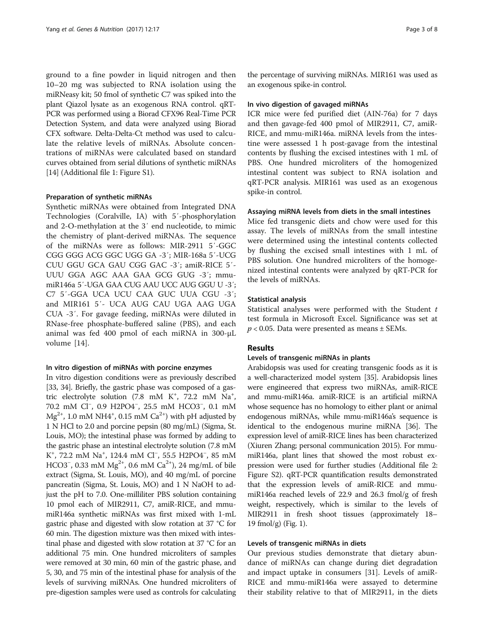ground to a fine powder in liquid nitrogen and then 10–20 mg was subjected to RNA isolation using the miRNeasy kit; 50 fmol of synthetic C7 was spiked into the plant Qiazol lysate as an exogenous RNA control. qRT-PCR was performed using a Biorad CFX96 Real-Time PCR Detection System, and data were analyzed using Biorad CFX software. Delta-Delta-Ct method was used to calculate the relative levels of miRNAs. Absolute concentrations of miRNAs were calculated based on standard curves obtained from serial dilutions of synthetic miRNAs [[14](#page-6-0)] (Additional file [1:](#page-6-0) Figure S1).

#### Preparation of synthetic miRNAs

Synthetic miRNAs were obtained from Integrated DNA Technologies (Coralville, IA) with 5′-phosphorylation and 2-O-methylation at the 3′ end nucleotide, to mimic the chemistry of plant-derived miRNAs. The sequence of the miRNAs were as follows: MIR-2911 5′-GGC CGG GGG ACG GGC UGG GA -3′; MIR-168a 5′-UCG CUU GGU GCA GAU CGG GAC -3′; amiR-RICE 5′- UUU GGA AGC AAA GAA GCG GUG -3′; mmumiR146a 5′-UGA GAA CUG AAU UCC AUG GGU U -3′; C7 5′-GGA UCA UCU CAA GUC UUA CGU -3′; and MIR161 5′- UCA AUG CAU UGA AAG UGA CUA -3′. For gavage feeding, miRNAs were diluted in RNase-free phosphate-buffered saline (PBS), and each animal was fed 400 pmol of each miRNA in 300-μL volume [\[14](#page-6-0)].

#### In vitro digestion of miRNAs with porcine enzymes

In vitro digestion conditions were as previously described [[33](#page-6-0), [34](#page-7-0)]. Briefly, the gastric phase was composed of a gastric electrolyte solution  $(7.8 \text{ mM } K^+, 72.2 \text{ mM } Na^+,$ 70.2 mM Cl<sup>−</sup> , 0.9 H2PO4<sup>−</sup> , 25.5 mM HCO3<sup>−</sup> , 0.1 mM  $\text{Mg}^{2+}$ , 1.0 mM NH4<sup>+</sup>, 0.15 mM Ca<sup>2+</sup>) with pH adjusted by 1 N HCl to 2.0 and porcine pepsin (80 mg/mL) (Sigma, St. Louis, MO); the intestinal phase was formed by adding to the gastric phase an intestinal electrolyte solution (7.8 mM K<sup>+</sup>, 72.2 mM Na<sup>+</sup>, 124.4 mM Cl<sup>−</sup>, 55.5 H2PO4<sup>-</sup>, 85 mM HCO3<sup>-</sup>, 0.33 mM Mg<sup>2+</sup>, 0.6 mM Ca<sup>2+</sup>), 24 mg/mL of bile extract (Sigma, St. Louis, MO), and 40 mg/mL of porcine pancreatin (Sigma, St. Louis, MO) and 1 N NaOH to adjust the pH to 7.0. One-milliliter PBS solution containing 10 pmol each of MIR2911, C7, amiR-RICE, and mmumiR146a synthetic miRNAs was first mixed with 1-mL gastric phase and digested with slow rotation at 37 °C for 60 min. The digestion mixture was then mixed with intestinal phase and digested with slow rotation at 37 °C for an additional 75 min. One hundred microliters of samples were removed at 30 min, 60 min of the gastric phase, and 5, 30, and 75 min of the intestinal phase for analysis of the levels of surviving miRNAs. One hundred microliters of pre-digestion samples were used as controls for calculating

the percentage of surviving miRNAs. MIR161 was used as an exogenous spike-in control.

#### In vivo digestion of gavaged miRNAs

ICR mice were fed purified diet (AIN-76a) for 7 days and then gavage-fed 400 pmol of MIR2911, C7, amiR-RICE, and mmu-miR146a. miRNA levels from the intestine were assessed 1 h post-gavage from the intestinal contents by flushing the excised intestines with 1 mL of PBS. One hundred microliters of the homogenized intestinal content was subject to RNA isolation and qRT-PCR analysis. MIR161 was used as an exogenous spike-in control.

#### Assaying miRNA levels from diets in the small intestines

Mice fed transgenic diets and chow were used for this assay. The levels of miRNAs from the small intestine were determined using the intestinal contents collected by flushing the excised small intestines with 1 mL of PBS solution. One hundred microliters of the homogenized intestinal contents were analyzed by qRT-PCR for the levels of miRNAs.

#### Statistical analysis

Statistical analyses were performed with the Student  $t$ test formula in Microsoft Excel. Significance was set at  $p < 0.05$ . Data were presented as means  $\pm$  SEMs.

#### Results

#### Levels of transgenic miRNAs in plants

Arabidopsis was used for creating transgenic foods as it is a well-characterized model system [\[35\]](#page-7-0). Arabidopsis lines were engineered that express two miRNAs, amiR-RICE and mmu-miR146a. amiR-RICE is an artificial miRNA whose sequence has no homology to either plant or animal endogenous miRNAs, while mmu-miR146a's sequence is identical to the endogenous murine miRNA [\[36\]](#page-7-0). The expression level of amiR-RICE lines has been characterized (Xiuren Zhang; personal communication 2015). For mmumiR146a, plant lines that showed the most robust expression were used for further studies (Additional file [2](#page-6-0): Figure S2). qRT-PCR quantification results demonstrated that the expression levels of amiR-RICE and mmumiR146a reached levels of 22.9 and 26.3 fmol/g of fresh weight, respectively, which is similar to the levels of MIR2911 in fresh shoot tissues (approximately 18– 19 fmol/g) (Fig. [1\)](#page-3-0).

#### Levels of transgenic miRNAs in diets

Our previous studies demonstrate that dietary abundance of miRNAs can change during diet degradation and impact uptake in consumers [\[31](#page-6-0)]. Levels of amiR-RICE and mmu-miR146a were assayed to determine their stability relative to that of MIR2911, in the diets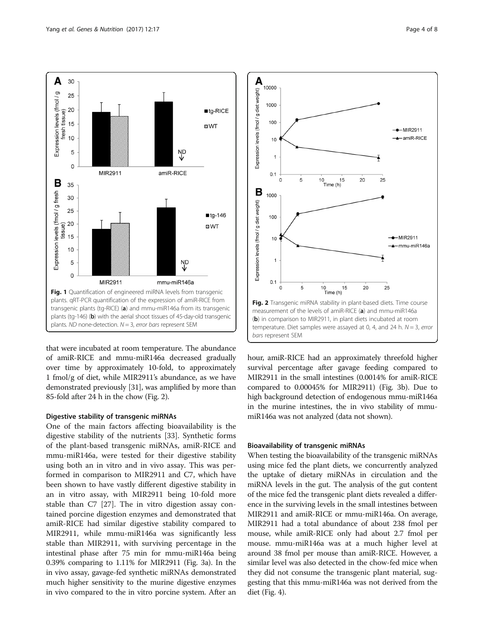

<span id="page-3-0"></span>

that were incubated at room temperature. The abundance of amiR-RICE and mmu-miR146a decreased gradually over time by approximately 10-fold, to approximately 1 fmol/g of diet, while MIR2911's abundance, as we have demonstrated previously [\[31\]](#page-6-0), was amplified by more than 85-fold after 24 h in the chow (Fig. 2).

# Digestive stability of transgenic miRNAs

One of the main factors affecting bioavailability is the digestive stability of the nutrients [[33](#page-6-0)]. Synthetic forms of the plant-based transgenic miRNAs, amiR-RICE and mmu-miR146a, were tested for their digestive stability using both an in vitro and in vivo assay. This was performed in comparison to MIR2911 and C7, which have been shown to have vastly different digestive stability in an in vitro assay, with MIR2911 being 10-fold more stable than C7 [\[27](#page-6-0)]. The in vitro digestion assay contained porcine digestion enzymes and demonstrated that amiR-RICE had similar digestive stability compared to MIR2911, while mmu-miR146a was significantly less stable than MIR2911, with surviving percentage in the intestinal phase after 75 min for mmu-miR146a being 0.39% comparing to 1.11% for MIR2911 (Fig. [3a](#page-4-0)). In the in vivo assay, gavage-fed synthetic miRNAs demonstrated much higher sensitivity to the murine digestive enzymes in vivo compared to the in vitro porcine system. After an



hour, amiR-RICE had an approximately threefold higher survival percentage after gavage feeding compared to MIR2911 in the small intestines (0.0014% for amiR-RICE compared to 0.00045% for MIR2911) (Fig. [3b\)](#page-4-0). Due to high background detection of endogenous mmu-miR146a in the murine intestines, the in vivo stability of mmumiR146a was not analyzed (data not shown).

# Bioavailability of transgenic miRNAs

When testing the bioavailability of the transgenic miRNAs using mice fed the plant diets, we concurrently analyzed the uptake of dietary miRNAs in circulation and the miRNA levels in the gut. The analysis of the gut content of the mice fed the transgenic plant diets revealed a difference in the surviving levels in the small intestines between MIR2911 and amiR-RICE or mmu-miR146a. On average, MIR2911 had a total abundance of about 238 fmol per mouse, while amiR-RICE only had about 2.7 fmol per mouse. mmu-miR146a was at a much higher level at around 38 fmol per mouse than amiR-RICE. However, a similar level was also detected in the chow-fed mice when they did not consume the transgenic plant material, suggesting that this mmu-miR146a was not derived from the diet (Fig. [4](#page-4-0)).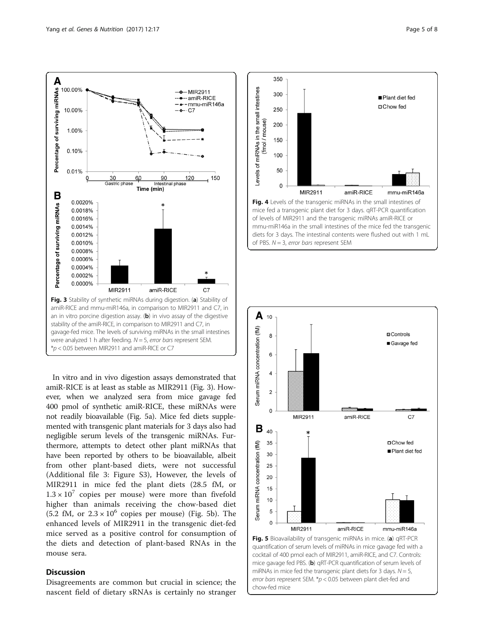<span id="page-4-0"></span>

In vitro and in vivo digestion assays demonstrated that amiR-RICE is at least as stable as MIR2911 (Fig. 3). However, when we analyzed sera from mice gavage fed 400 pmol of synthetic amiR-RICE, these miRNAs were not readily bioavailable (Fig. 5a). Mice fed diets supplemented with transgenic plant materials for 3 days also had negligible serum levels of the transgenic miRNAs. Furthermore, attempts to detect other plant miRNAs that have been reported by others to be bioavailable, albeit from other plant-based diets, were not successful (Additional file [3](#page-6-0): Figure S3), However, the levels of MIR2911 in mice fed the plant diets (28.5 fM, or  $1.3 \times 10^{7}$  copies per mouse) were more than fivefold higher than animals receiving the chow-based diet (5.2 fM, or  $2.3 \times 10^6$  copies per mouse) (Fig. 5b). The enhanced levels of MIR2911 in the transgenic diet-fed mice served as a positive control for consumption of the diets and detection of plant-based RNAs in the mouse sera.

# Discussion

Disagreements are common but crucial in science; the nascent field of dietary sRNAs is certainly no stranger



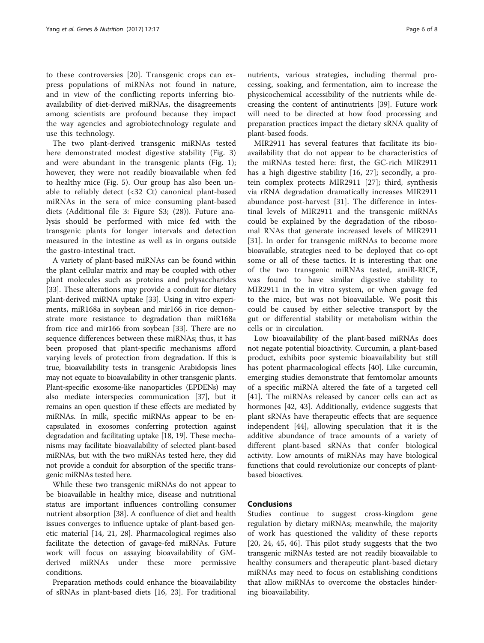to these controversies [[20\]](#page-6-0). Transgenic crops can express populations of miRNAs not found in nature, and in view of the conflicting reports inferring bioavailability of diet-derived miRNAs, the disagreements among scientists are profound because they impact the way agencies and agrobiotechnology regulate and use this technology.

The two plant-derived transgenic miRNAs tested here demonstrated modest digestive stability (Fig. [3](#page-4-0)) and were abundant in the transgenic plants (Fig. [1](#page-3-0)); however, they were not readily bioavailable when fed to healthy mice (Fig. [5\)](#page-4-0). Our group has also been unable to reliably detect (<32 Ct) canonical plant-based miRNAs in the sera of mice consuming plant-based diets (Additional file [3:](#page-6-0) Figure S3; (28)). Future analysis should be performed with mice fed with the transgenic plants for longer intervals and detection measured in the intestine as well as in organs outside the gastro-intestinal tract.

A variety of plant-based miRNAs can be found within the plant cellular matrix and may be coupled with other plant molecules such as proteins and polysaccharides [[33\]](#page-6-0). These alterations may provide a conduit for dietary plant-derived miRNA uptake [[33\]](#page-6-0). Using in vitro experiments, miR168a in soybean and mir166 in rice demonstrate more resistance to degradation than miR168a from rice and mir166 from soybean [[33\]](#page-6-0). There are no sequence differences between these miRNAs; thus, it has been proposed that plant-specific mechanisms afford varying levels of protection from degradation. If this is true, bioavailability tests in transgenic Arabidopsis lines may not equate to bioavailability in other transgenic plants. Plant-specific exosome-like nanoparticles (EPDENs) may also mediate interspecies communication [\[37\]](#page-7-0), but it remains an open question if these effects are mediated by miRNAs. In milk, specific miRNAs appear to be encapsulated in exosomes conferring protection against degradation and facilitating uptake [\[18, 19\]](#page-6-0). These mechanisms may facilitate bioavailability of selected plant-based miRNAs, but with the two miRNAs tested here, they did not provide a conduit for absorption of the specific transgenic miRNAs tested here.

While these two transgenic miRNAs do not appear to be bioavailable in healthy mice, disease and nutritional status are important influences controlling consumer nutrient absorption [[38](#page-7-0)]. A confluence of diet and health issues converges to influence uptake of plant-based genetic material [[14, 21, 28\]](#page-6-0). Pharmacological regimes also facilitate the detection of gavage-fed miRNAs. Future work will focus on assaying bioavailability of GMderived miRNAs under these more permissive conditions.

Preparation methods could enhance the bioavailability of sRNAs in plant-based diets [\[16](#page-6-0), [23\]](#page-6-0). For traditional nutrients, various strategies, including thermal processing, soaking, and fermentation, aim to increase the

physicochemical accessibility of the nutrients while decreasing the content of antinutrients [\[39](#page-7-0)]. Future work will need to be directed at how food processing and preparation practices impact the dietary sRNA quality of plant-based foods.

MIR2911 has several features that facilitate its bioavailability that do not appear to be characteristics of the miRNAs tested here: first, the GC-rich MIR2911 has a high digestive stability [[16, 27](#page-6-0)]; secondly, a protein complex protects MIR2911 [[27\]](#page-6-0); third, synthesis via rRNA degradation dramatically increases MIR2911 abundance post-harvest [\[31](#page-6-0)]. The difference in intestinal levels of MIR2911 and the transgenic miRNAs could be explained by the degradation of the ribosomal RNAs that generate increased levels of MIR2911 [[31\]](#page-6-0). In order for transgenic miRNAs to become more bioavailable, strategies need to be deployed that co-opt some or all of these tactics. It is interesting that one of the two transgenic miRNAs tested, amiR-RICE, was found to have similar digestive stability to MIR2911 in the in vitro system, or when gavage fed to the mice, but was not bioavailable. We posit this could be caused by either selective transport by the gut or differential stability or metabolism within the cells or in circulation.

Low bioavailability of the plant-based miRNAs does not negate potential bioactivity. Curcumin, a plant-based product, exhibits poor systemic bioavailability but still has potent pharmacological effects [[40\]](#page-7-0). Like curcumin, emerging studies demonstrate that femtomolar amounts of a specific miRNA altered the fate of a targeted cell [[41\]](#page-7-0). The miRNAs released by cancer cells can act as hormones [\[42, 43](#page-7-0)]. Additionally, evidence suggests that plant sRNAs have therapeutic effects that are sequence independent [[44\]](#page-7-0), allowing speculation that it is the additive abundance of trace amounts of a variety of different plant-based sRNAs that confer biological activity. Low amounts of miRNAs may have biological functions that could revolutionize our concepts of plantbased bioactives.

#### Conclusions

Studies continue to suggest cross-kingdom gene regulation by dietary miRNAs; meanwhile, the majority of work has questioned the validity of these reports [[20, 24](#page-6-0), [45](#page-7-0), [46\]](#page-7-0). This pilot study suggests that the two transgenic miRNAs tested are not readily bioavailable to healthy consumers and therapeutic plant-based dietary miRNAs may need to focus on establishing conditions that allow miRNAs to overcome the obstacles hindering bioavailability.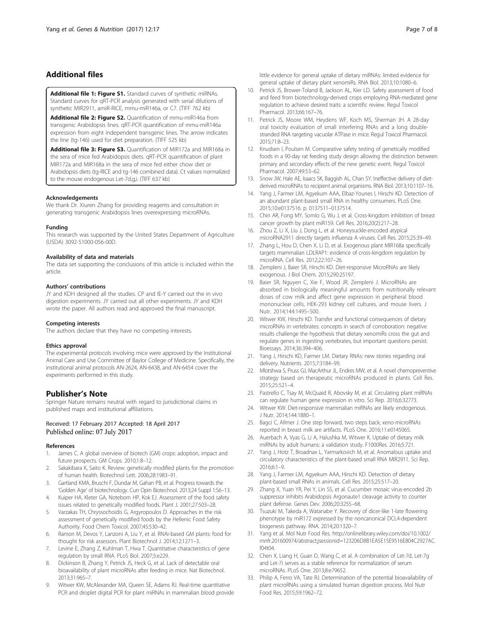# <span id="page-6-0"></span>Additional files

[Additional file 1: Figure S1.](dx.doi.org/10.1186/s12263-017-0563-5) Standard curves of synthetic miRNAs. Standard curves for qRT-PCR analysis generated with serial dilutions of synthetic MIR2911, amiR-RICE, mmu-miR146a, or C7. (TIFF 762 kb)

[Additional file 2: Figure S2.](dx.doi.org/10.1186/s12263-017-0563-5) Quantification of mmu-miR146a from transgenic Arabidopsis lines. qRT-PCR quantification of mmu-miR146a expression from eight independent transgenic lines. The arrow indicates the line (tg-146) used for diet preparation. (TIFF 525 kb)

[Additional file 3: Figure S3.](dx.doi.org/10.1186/s12263-017-0563-5) Quantification of MIR172a and MIR168a in the sera of mice fed Arabidopsis diets. qRT-PCR quantification of plant MIR172a and MIR168a in the sera of mice fed either chow diet or Arabidopsis diets (tg-RICE and tg-146 combined data). Ct values normalized to the mouse endogenous Let-7d,g,i. (TIFF 637 kb)

#### Acknowledgements

We thank Dr. Xiuren Zhang for providing reagents and consultation in generating transgenic Arabidopsis lines overexpressing microRNAs.

#### Funding

This research was supported by the United States Department of Agriculture (USDA) 3092-51000-056-00D.

#### Availability of data and materials

The data set supporting the conclusions of this article is included within the article.

#### Authors' contributions

JY and KDH designed all the studies. CP and IE-Y carried out the in vivo digestion experiments. JY carried out all other experiments. JY and KDH wrote the paper. All authors read and approved the final manuscript.

#### Competing interests

The authors declare that they have no competing interests.

#### Ethics approval

The experimental protocols involving mice were approved by the Institutional Animal Care and Use Committee of Baylor College of Medicine. Specifically, the institutional animal protocols AN-2624, AN-6438, and AN-6454 cover the experiments performed in this study.

#### Publisher's Note

Springer Nature remains neutral with regard to jurisdictional claims in published maps and institutional affiliations.

# Received: 17 February 2017 Accepted: 18 April 2017<br>Published online: 07 July 2017

#### References

- 1. James C. A global overview of biotech (GM) crops: adoption, impact and future prospects. GM Crops. 2010;1:8–12.
- 2. Sakakibara K, Saito K. Review: genetically modified plants for the promotion of human health. Biotechnol Lett. 2006;28:1983–91.
- 3. Gartland KMA, Bruschi F, Dundar M, Gahan PB, et al. Progress towards the 'Golden Age' of biotechnology. Curr Opin Biotechnol. 2013;24 Suppl 1:S6–13.
- 4. Kuiper HA, Kleter GA, Noteborn HP, Kok EJ. Assessment of the food safety issues related to genetically modified foods. Plant J. 2001;27:503–28.
- Varzakas TH, Chryssochoidis G, Argyropoulos D. Approaches in the risk assessment of genetically modified foods by the Hellenic Food Safety Authority. Food Chem Toxicol. 2007;45:530–42.
- 6. Ramon M, Devos Y, Lanzoni A, Liu Y, et al. RNAi-based GM plants: food for thought for risk assessors. Plant Biotechnol J. 2014;12:1271–3.
- 7. Levine E, Zhang Z, Kuhlman T, Hwa T. Quantitative characteristics of gene regulation by small RNA. PLoS Biol. 2007;5:e229.
- 8. Dickinson B, Zhang Y, Petrick JS, Heck G, et al. Lack of detectable oral bioavailability of plant microRNAs after feeding in mice. Nat Biotechnol. 2013;31:965–7.
- 9. Witwer KW, McAlexander MA, Queen SE, Adams RJ. Real-time quantitative PCR and droplet digital PCR for plant miRNAs in mammalian blood provide

little evidence for general uptake of dietary miRNAs: limited evidence for general uptake of dietary plant xenomiRs. RNA Biol. 2013;10:1080–6.

- 10. Petrick JS, Brower-Toland B, Jackson AL, Kier LD. Safety assessment of food and feed from biotechnology-derived crops employing RNA-mediated gene regulation to achieve desired traits: a scientific review. Regul Toxicol Pharmacol. 2013;66:167–76.
- 11. Petrick JS, Moore WM, Heydens WF, Koch MS, Sherman JH. A 28-day oral toxicity evaluation of small interfering RNAs and a long doublestranded RNA targeting vacuolar ATPase in mice. Regul Toxicol Pharmacol. 2015;71:8–23.
- 12. Knudsen I, Poulsen M. Comparative safety testing of genetically modified foods in a 90-day rat feeding study design allowing the distinction between primary and secondary effects of the new genetic event. Regul Toxicol Pharmacol. 2007;49:53–62.
- 13. Snow JW, Hale AE, Isaacs SK, Baggish AL, Chan SY. Ineffective delivery of dietderived microRNAs to recipient animal organisms. RNA Biol. 2013;10:1107–16.
- 14. Yang J, Farmer LM, Agyekum AAA, Elbaz-Younes I, Hirschi KD. Detection of an abundant plant-based small RNA in healthy consumers. PLoS One. 2015;10:e0137516. p. 0137511–0137514.
- 15. Chin AR, Fong MY, Somlo G, Wu J, et al. Cross-kingdom inhibition of breast cancer growth by plant miR159. Cell Res. 2016;20(2):217–28.
- 16. Zhou Z, Li X, Liu J, Dong L, et al. Honeysuckle-encoded atypical microRNA2911 directly targets influenza A viruses. Cell Res. 2015;25:39–49.
- 17. Zhang L, Hou D, Chen X, Li D, et al. Exogenous plant MIR168a specifically targets mammalian LDLRAP1: evidence of cross-kingdom regulation by microRNA. Cell Res. 2012;22:107–26.
- 18. Zempleni J, Baier SR, Hirschi KD. Diet-responsive MicroRNAs are likely exogenous. J Biol Chem. 2015;290:25197.
- 19. Baier SR, Nguyen C, Xie F, Wood JR, Zempleni J. MicroRNAs are absorbed in biologically meaningful amounts from nutritionally relevant doses of cow milk and affect gene expression in peripheral blood mononuclear cells, HEK-293 kidney cell cultures, and mouse livers. J Nutr. 2014;144:1495–500.
- 20. Witwer KW, Hirschi KD. Transfer and functional consequences of dietary microRNAs in vertebrates: concepts in search of corroboration: negative results challenge the hypothesis that dietary xenomiRs cross the gut and regulate genes in ingesting vertebrates, but important questions persist. Bioessays. 2014;36:394–406.
- 21. Yang J, Hirschi KD, Farmer LM. Dietary RNAs: new stories regarding oral delivery. Nutrients. 2015;7:3184–99.
- 22. Mlotshwa S, Pruss GJ, MacArthur JL, Endres MW, et al. A novel chemopreventive strategy based on therapeutic microRNAs produced in plants. Cell Res. 2015;25:521–4.
- 23. Pastrello C, Tsay M, McQuaid R, Abovsky M, et al. Circulating plant miRNAs can regulate human gene expression in vitro. Sci Rep. 2016;6:32773.
- 24. Witwer KW. Diet-responsive mammalian miRNAs are likely endogenous. J Nutr. 2014;144:1880–1.
- 25. Bagci C, Allmer J. One step forward, two steps back; xeno-microRNAs reported in breast milk are artifacts. PLoS One. 2016;11:e0145065.
- 26. Auerbach A, Vyas G, Li A, Halushka M, Witwer K. Uptake of dietary milk miRNAs by adult humans: a validation study. F1000Res. 2016;5:721.
- 27. Yang J, Hotz T, Broadnax L, Yarmarkovich M, et al. Anomalous uptake and circulatory characteristics of the plant-based small RNA MIR2911. Sci Rep. 2016;6:1–9.
- 28. Yang J, Farmer LM, Agyekum AAA, Hirschi KD. Detection of dietary plant-based small RNAs in animals. Cell Res. 2015;25:517–20.
- 29. Zhang X, Yuan YR, Pei Y, Lin SS, et al. Cucumber mosaic virus-encoded 2b suppressor inhibits Arabidopsis Argonaute1 cleavage activity to counter plant defense. Genes Dev. 2006;20:3255–68.
- 30. Tsuzuki M, Takeda A, Watanabe Y. Recovery of dicer-like 1-late flowering phenotype by miR172 expressed by the noncanonical DCL4-dependent biogenesis pathway. RNA. 2014;20:1320–7.
- 31. Yang et al. Mol Nutr Food Res. [http://onlinelibrary.wiley.com/doi/10.1002/](http://onlinelibrary.wiley.com/doi/10.1002/mnfr.201600974/abstract;jsessionid=123206D8B1EA5E15E9516E804C2927AC.f04t04) [mnfr.201600974/abstract;jsessionid=123206D8B1EA5E15E9516E804C2927AC.](http://onlinelibrary.wiley.com/doi/10.1002/mnfr.201600974/abstract;jsessionid=123206D8B1EA5E15E9516E804C2927AC.f04t04) [f04t04](http://onlinelibrary.wiley.com/doi/10.1002/mnfr.201600974/abstract;jsessionid=123206D8B1EA5E15E9516E804C2927AC.f04t04).
- 32. Chen X, Liang H, Guan D, Wang C, et al. A combination of Let-7d, Let-7g and Let-7i serves as a stable reference for normalization of serum microRNAs. PLoS One. 2013;8:e79652.
- 33. Philip A, Ferro VA, Tate RJ. Determination of the potential bioavailability of plant microRNAs using a simulated human digestion process. Mol Nutr Food Res. 2015;59:1962–72.